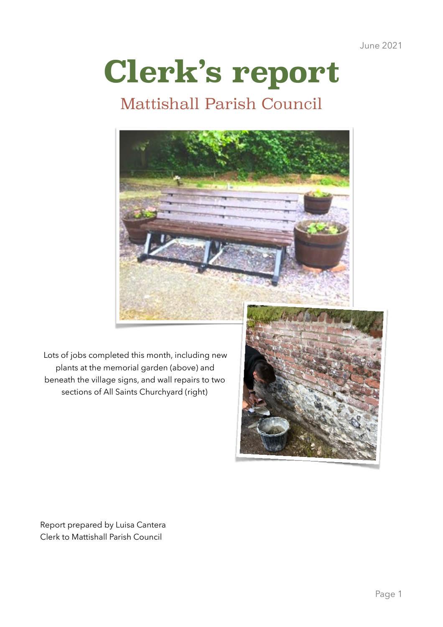June 2021

# **Clerk's report**

## Mattishall Parish Council



Lots of jobs completed this month, including new plants at the memorial garden (above) and beneath the village signs, and wall repairs to two sections of All Saints Churchyard (right)



Report prepared by Luisa Cantera Clerk to Mattishall Parish Council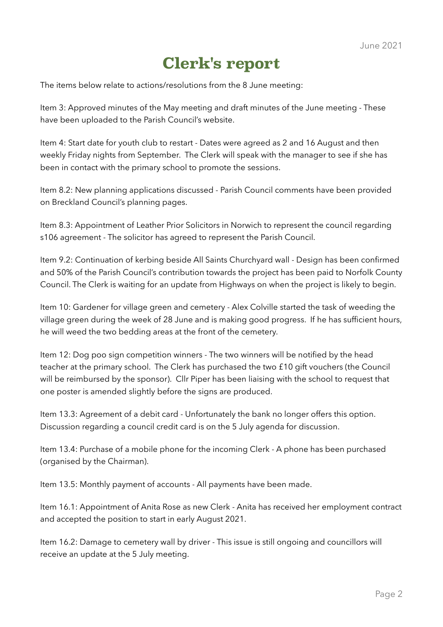## **Clerk's report**

The items below relate to actions/resolutions from the 8 June meeting:

Item 3: Approved minutes of the May meeting and draft minutes of the June meeting - These have been uploaded to the Parish Council's website.

Item 4: Start date for youth club to restart - Dates were agreed as 2 and 16 August and then weekly Friday nights from September. The Clerk will speak with the manager to see if she has been in contact with the primary school to promote the sessions.

Item 8.2: New planning applications discussed - Parish Council comments have been provided on Breckland Council's planning pages.

Item 8.3: Appointment of Leather Prior Solicitors in Norwich to represent the council regarding s106 agreement - The solicitor has agreed to represent the Parish Council.

Item 9.2: Continuation of kerbing beside All Saints Churchyard wall - Design has been confirmed and 50% of the Parish Council's contribution towards the project has been paid to Norfolk County Council. The Clerk is waiting for an update from Highways on when the project is likely to begin.

Item 10: Gardener for village green and cemetery - Alex Colville started the task of weeding the village green during the week of 28 June and is making good progress. If he has sufficient hours, he will weed the two bedding areas at the front of the cemetery.

Item 12: Dog poo sign competition winners - The two winners will be notified by the head teacher at the primary school. The Clerk has purchased the two £10 gift vouchers (the Council will be reimbursed by the sponsor). Cllr Piper has been liaising with the school to request that one poster is amended slightly before the signs are produced.

Item 13.3: Agreement of a debit card - Unfortunately the bank no longer offers this option. Discussion regarding a council credit card is on the 5 July agenda for discussion.

Item 13.4: Purchase of a mobile phone for the incoming Clerk - A phone has been purchased (organised by the Chairman).

Item 13.5: Monthly payment of accounts - All payments have been made.

Item 16.1: Appointment of Anita Rose as new Clerk - Anita has received her employment contract and accepted the position to start in early August 2021.

Item 16.2: Damage to cemetery wall by driver - This issue is still ongoing and councillors will receive an update at the 5 July meeting.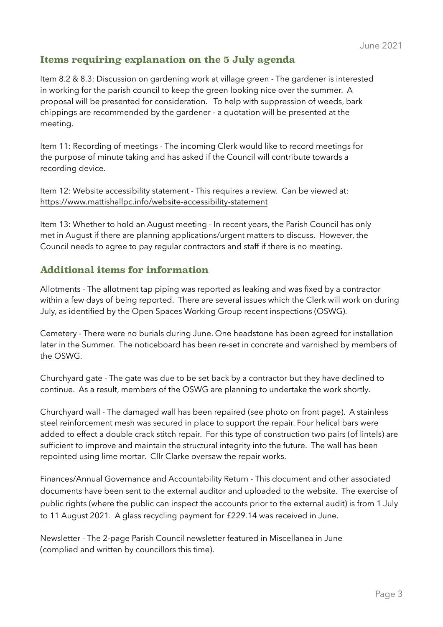### **Items requiring explanation on the 5 July agenda**

Item 8.2 & 8.3: Discussion on gardening work at village green - The gardener is interested in working for the parish council to keep the green looking nice over the summer. A proposal will be presented for consideration. To help with suppression of weeds, bark chippings are recommended by the gardener - a quotation will be presented at the meeting.

Item 11: Recording of meetings - The incoming Clerk would like to record meetings for the purpose of minute taking and has asked if the Council will contribute towards a recording device.

Item 12: Website accessibility statement - This requires a review. Can be viewed at: <https://www.mattishallpc.info/website-accessibility-statement>

Item 13: Whether to hold an August meeting - In recent years, the Parish Council has only met in August if there are planning applications/urgent matters to discuss. However, the Council needs to agree to pay regular contractors and staff if there is no meeting.

#### **Additional items for information**

Allotments - The allotment tap piping was reported as leaking and was fixed by a contractor within a few days of being reported. There are several issues which the Clerk will work on during July, as identified by the Open Spaces Working Group recent inspections (OSWG).

Cemetery - There were no burials during June. One headstone has been agreed for installation later in the Summer. The noticeboard has been re-set in concrete and varnished by members of the OSWG.

Churchyard gate - The gate was due to be set back by a contractor but they have declined to continue. As a result, members of the OSWG are planning to undertake the work shortly.

Churchyard wall - The damaged wall has been repaired (see photo on front page). A stainless steel reinforcement mesh was secured in place to support the repair. Four helical bars were added to effect a double crack stitch repair. For this type of construction two pairs (of lintels) are sufficient to improve and maintain the structural integrity into the future. The wall has been repointed using lime mortar. Cllr Clarke oversaw the repair works.

Finances/Annual Governance and Accountability Return - This document and other associated documents have been sent to the external auditor and uploaded to the website. The exercise of public rights (where the public can inspect the accounts prior to the external audit) is from 1 July to 11 August 2021. A glass recycling payment for £229.14 was received in June.

Newsletter - The 2-page Parish Council newsletter featured in Miscellanea in June (complied and written by councillors this time).